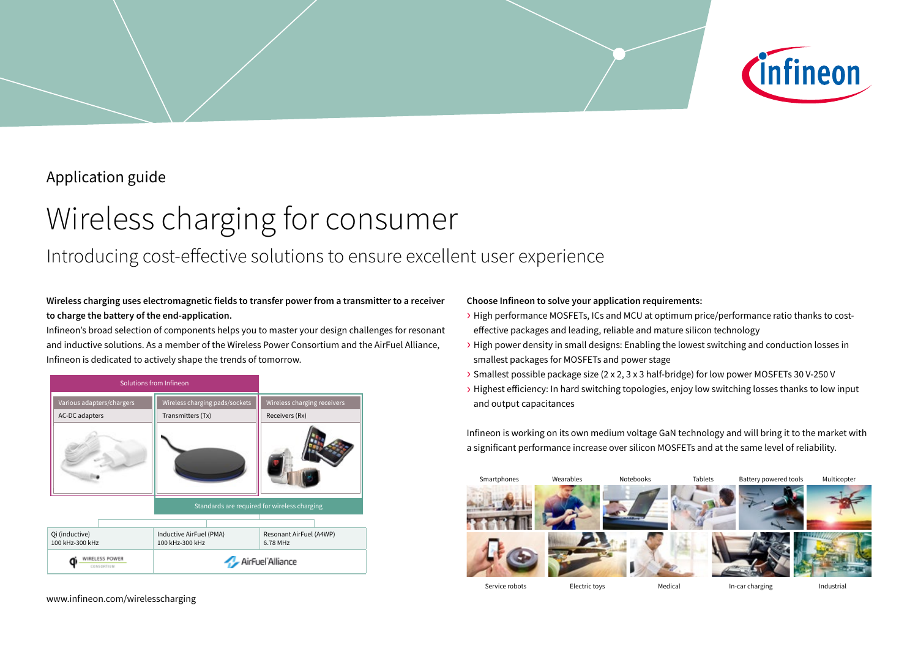# Application guide

# Wireless charging for consumer

# Introducing cost-effective solutions to ensure excellent user experience

## **Wireless charging uses electromagnetic fields to transfer power from a transmitter to a receiver to charge the battery of the end-application.**

Infineon's broad selection of components helps you to master your design challenges for resonant and inductive solutions. As a member of the Wireless Power Consortium and the AirFuel Alliance, Infineon is dedicated to actively shape the trends of tomorrow.



### **Choose Infineon to solve your application requirements:**

› High performance MOSFETs, ICs and MCU at optimum price/performance ratio thanks to costeffective packages and leading, reliable and mature silicon technology

*C*infineon

- › High power density in small designs: Enabling the lowest switching and conduction losses in smallest packages for MOSFETs and power stage
- › Smallest possible package size (2 x 2, 3 x 3 half-bridge) for low power MOSFETs 30 V-250 V
- › Highest efficiency: In hard switching topologies, enjoy low switching losses thanks to low input and output capacitances

Infineon is working on its own medium voltage GaN technology and will bring it to the market with a significant performance increase over silicon MOSFETs and at the same level of reliability.